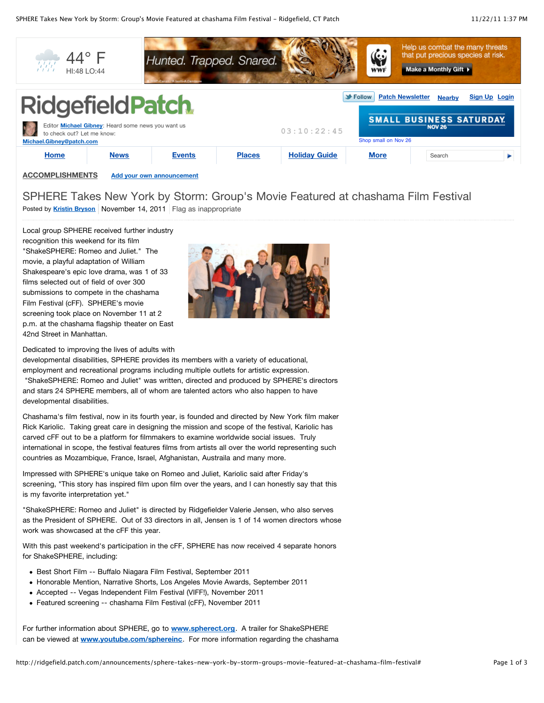

Posted by **[Kristin Bryson](http://ridgefield.patch.com/users/kristin-bryson)** November 14, 2011 Flag as inappropriate SPHERE Takes New York by Storm: Group's Movie Featured at chashama Film Festival

Local group SPHERE received further industry recognition this weekend for its film "ShakeSPHERE: Romeo and Juliet." The movie, a playful adaptation of William Shakespeare's epic love drama, was 1 of 33 films selected out of field of over 300 submissions to compete in the chashama Film Festival (cFF). SPHERE's movie screening took place on November 11 at 2 p.m. at the chashama flagship theater on East 42nd Street in Manhattan.



Dedicated to improving the lives of adults with

developmental disabilities, SPHERE provides its members with a variety of educational, employment and recreational programs including multiple outlets for artistic expression. "ShakeSPHERE: Romeo and Juliet" was written, directed and produced by SPHERE's directors and stars 24 SPHERE members, all of whom are talented actors who also happen to have developmental disabilities.

Chashama's film festival, now in its fourth year, is founded and directed by New York film maker Rick Kariolic. Taking great care in designing the mission and scope of the festival, Kariolic has carved cFF out to be a platform for filmmakers to examine worldwide social issues. Truly international in scope, the festival features films from artists all over the world representing such countries as Mozambique, France, Israel, Afghanistan, Austraila and many more.

Impressed with SPHERE's unique take on Romeo and Juliet, Kariolic said after Friday's screening, "This story has inspired film upon film over the years, and I can honestly say that this is my favorite interpretation yet."

"ShakeSPHERE: Romeo and Juliet" is directed by Ridgefielder Valerie Jensen, who also serves as the President of SPHERE. Out of 33 directors in all, Jensen is 1 of 14 women directors whose work was showcased at the cFF this year.

With this past weekend's participation in the cFF, SPHERE has now received 4 separate honors for ShakeSPHERE, including:

- Best Short Film -- Buffalo Niagara Film Festival, September 2011
- Honorable Mention, Narrative Shorts, Los Angeles Movie Awards, September 2011
- Accepted -- Vegas Independent Film Festival (VIFF!), November 2011
- Featured screening -- chashama Film Festival (cFF), November 2011

For further information about SPHERE, go to **[www.spherect.org](http://www.spherect.org/)**. A trailer for ShakeSPHERE can be viewed at **[www.youtube.com/sphereinc](http://www.youtube.com/sphereinc)**. For more information regarding the chashama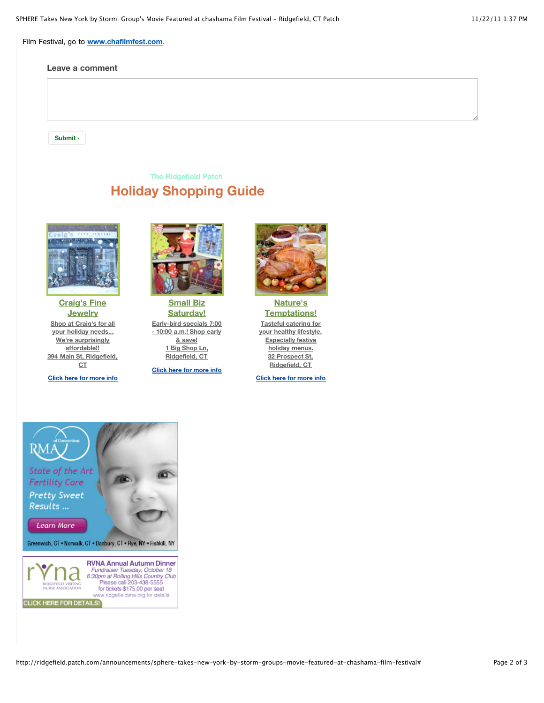Film Festival, go to **[www.chafilmfest.com](http://www.chafilmfest.com/)**.

## **Leave a comment**

**Submit › Submit ›**

## **The Ridgefield Patch Holiday Shopping Guide**



**[Craig's Fine](http://ads.patch.com/r?c=6302-6222-6598-7324&url=http://craigsfinejewelry.com/) Jewelry [Shop at Craig's for all](http://ads.patch.com/r?c=6302-6222-6598-7324&url=http://craigsfinejewelry.com/) your holiday needs... We're surprisingly affordable!! [394 Main St, Ridgefield,](http://ads.patch.com/r?c=6302-6222-6598-7324&url=http://craigsfinejewelry.com/) CT**

**[Click here for more info](http://ads.patch.com/r?c=6302-6222-6598-7324&url=http://craigsfinejewelry.com/)**



**Small Biz [Saturday!](http://ads.patch.com/r?c=6004-5932-6304-7030&url=http://ridgefield.patch.com/listings/nancy-o) [Early-bird specials 7:00](http://ads.patch.com/r?c=6004-5932-6304-7030&url=http://ridgefield.patch.com/listings/nancy-o) - 10:00 a.m.! Shop early & save! [1 Big Shop Ln,](http://ads.patch.com/r?c=6004-5932-6304-7030&url=http://ridgefield.patch.com/listings/nancy-o) Ridgefield, CT**

**[Click here for more info](http://ads.patch.com/r?c=6004-5932-6304-7030&url=http://ridgefield.patch.com/listings/nancy-o)**



**Nature's [Temptations!](http://ads.patch.com/r?c=6229-6155-6525-7251&url=http://naturestemptations.com/catering/) Tasteful catering for [your healthy lifestyle.](http://ads.patch.com/r?c=6229-6155-6525-7251&url=http://naturestemptations.com/catering/) Especially festive holiday menus. [32 Prospect St,](http://ads.patch.com/r?c=6229-6155-6525-7251&url=http://naturestemptations.com/catering/) Ridgefield, CT**

**[Click here for more info](http://ads.patch.com/r?c=6229-6155-6525-7251&url=http://naturestemptations.com/catering/)**